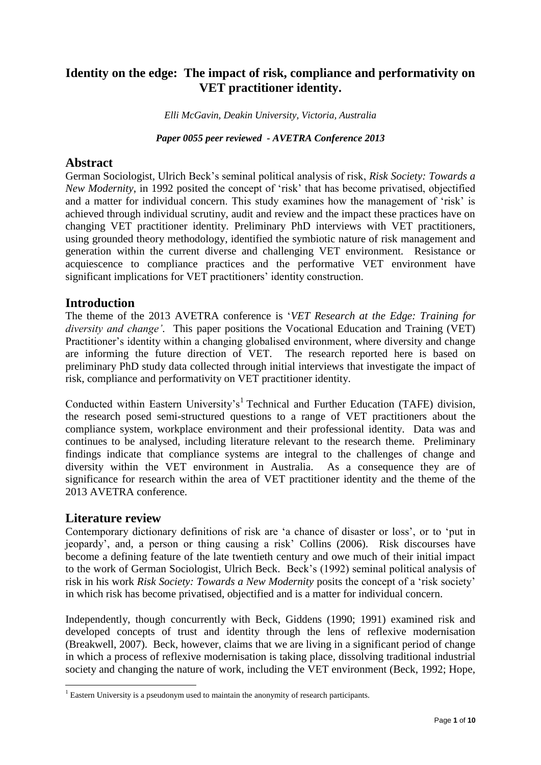# **Identity on the edge: The impact of risk, compliance and performativity on VET practitioner identity.**

*Elli McGavin, Deakin University, Victoria, Australia*

*Paper 0055 peer reviewed - AVETRA Conference 2013*

### **Abstract**

German Sociologist, Ulrich Beck's seminal political analysis of risk, *Risk Society: Towards a New Modernity*, in 1992 posited the concept of 'risk' that has become privatised, objectified and a matter for individual concern. This study examines how the management of 'risk' is achieved through individual scrutiny, audit and review and the impact these practices have on changing VET practitioner identity. Preliminary PhD interviews with VET practitioners, using grounded theory methodology, identified the symbiotic nature of risk management and generation within the current diverse and challenging VET environment. Resistance or acquiescence to compliance practices and the performative VET environment have significant implications for VET practitioners' identity construction.

## **Introduction**

The theme of the 2013 AVETRA conference is '*VET Research at the Edge: Training for diversity and change'*. This paper positions the Vocational Education and Training (VET) Practitioner's identity within a changing globalised environment, where diversity and change are informing the future direction of VET. The research reported here is based on preliminary PhD study data collected through initial interviews that investigate the impact of risk, compliance and performativity on VET practitioner identity.

Conducted within Eastern University's<sup>1</sup> Technical and Further Education (TAFE) division, the research posed semi-structured questions to a range of VET practitioners about the compliance system, workplace environment and their professional identity. Data was and continues to be analysed, including literature relevant to the research theme. Preliminary findings indicate that compliance systems are integral to the challenges of change and diversity within the VET environment in Australia. As a consequence they are of significance for research within the area of VET practitioner identity and the theme of the 2013 AVETRA conference.

## **Literature review**

1

Contemporary dictionary definitions of risk are 'a chance of disaster or loss', or to 'put in jeopardy', and, a person or thing causing a risk' Collins (2006). Risk discourses have become a defining feature of the late twentieth century and owe much of their initial impact to the work of German Sociologist, Ulrich Beck. Beck's (1992) seminal political analysis of risk in his work *Risk Society: Towards a New Modernity* posits the concept of a 'risk society' in which risk has become privatised, objectified and is a matter for individual concern.

Independently, though concurrently with Beck, Giddens (1990; 1991) examined risk and developed concepts of trust and identity through the lens of reflexive modernisation (Breakwell, 2007). Beck, however, claims that we are living in a significant period of change in which a process of reflexive modernisation is taking place, dissolving traditional industrial society and changing the nature of work, including the VET environment (Beck, 1992; Hope,

<sup>&</sup>lt;sup>1</sup> Eastern University is a pseudonym used to maintain the anonymity of research participants.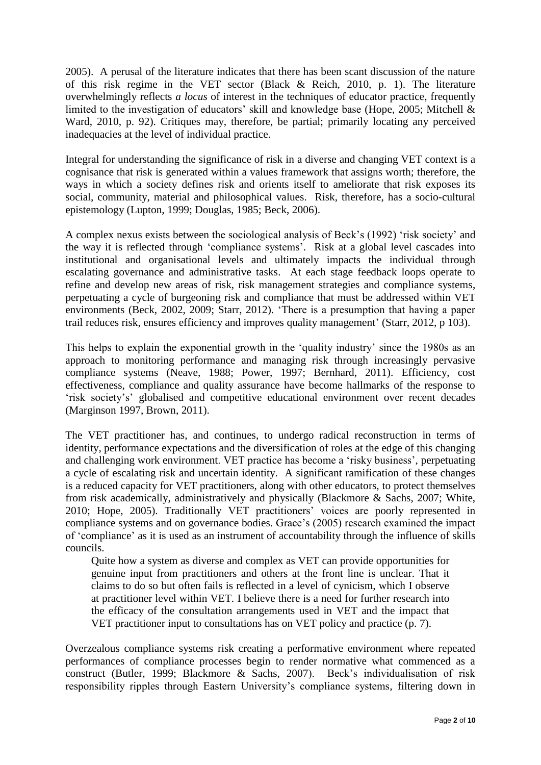2005). A perusal of the literature indicates that there has been scant discussion of the nature of this risk regime in the VET sector (Black & Reich, 2010, p. 1). The literature overwhelmingly reflects *a locus* of interest in the techniques of educator practice, frequently limited to the investigation of educators' skill and knowledge base (Hope, 2005; Mitchell & Ward, 2010, p. 92). Critiques may, therefore, be partial; primarily locating any perceived inadequacies at the level of individual practice.

Integral for understanding the significance of risk in a diverse and changing VET context is a cognisance that risk is generated within a values framework that assigns worth; therefore, the ways in which a society defines risk and orients itself to ameliorate that risk exposes its social, community, material and philosophical values. Risk, therefore, has a socio-cultural epistemology (Lupton, 1999; Douglas, 1985; Beck, 2006).

A complex nexus exists between the sociological analysis of Beck's (1992) 'risk society' and the way it is reflected through 'compliance systems'. Risk at a global level cascades into institutional and organisational levels and ultimately impacts the individual through escalating governance and administrative tasks. At each stage feedback loops operate to refine and develop new areas of risk, risk management strategies and compliance systems, perpetuating a cycle of burgeoning risk and compliance that must be addressed within VET environments (Beck, 2002, 2009; Starr, 2012). 'There is a presumption that having a paper trail reduces risk, ensures efficiency and improves quality management' (Starr, 2012, p 103).

This helps to explain the exponential growth in the 'quality industry' since the 1980s as an approach to monitoring performance and managing risk through increasingly pervasive compliance systems (Neave, 1988; Power, 1997; Bernhard, 2011). Efficiency, cost effectiveness, compliance and quality assurance have become hallmarks of the response to 'risk society's' globalised and competitive educational environment over recent decades (Marginson 1997, Brown, 2011).

The VET practitioner has, and continues, to undergo radical reconstruction in terms of identity, performance expectations and the diversification of roles at the edge of this changing and challenging work environment. VET practice has become a 'risky business', perpetuating a cycle of escalating risk and uncertain identity. A significant ramification of these changes is a reduced capacity for VET practitioners, along with other educators, to protect themselves from risk academically, administratively and physically (Blackmore & Sachs, 2007; White, 2010; Hope, 2005). Traditionally VET practitioners' voices are poorly represented in compliance systems and on governance bodies. Grace's (2005) research examined the impact of 'compliance' as it is used as an instrument of accountability through the influence of skills councils.

Quite how a system as diverse and complex as VET can provide opportunities for genuine input from practitioners and others at the front line is unclear. That it claims to do so but often fails is reflected in a level of cynicism, which I observe at practitioner level within VET. I believe there is a need for further research into the efficacy of the consultation arrangements used in VET and the impact that VET practitioner input to consultations has on VET policy and practice (p. 7).

Overzealous compliance systems risk creating a performative environment where repeated performances of compliance processes begin to render normative what commenced as a construct (Butler, 1999; Blackmore & Sachs, 2007). Beck's individualisation of risk responsibility ripples through Eastern University's compliance systems, filtering down in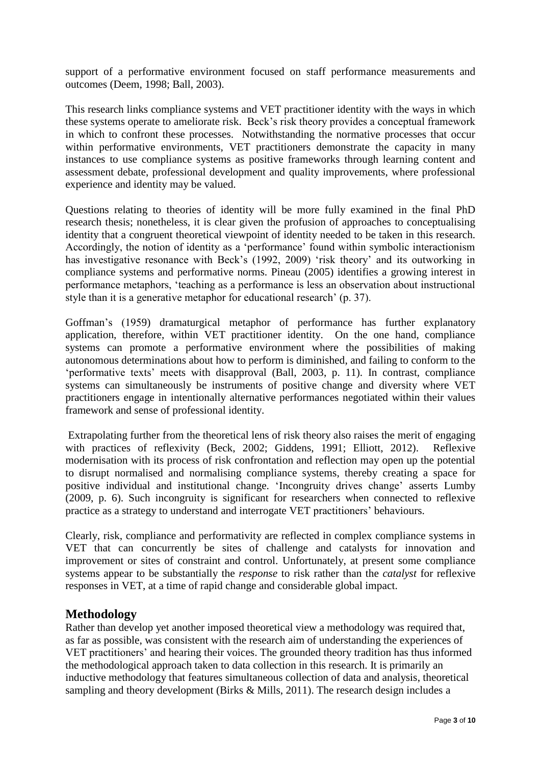support of a performative environment focused on staff performance measurements and outcomes (Deem, 1998; Ball, 2003).

This research links compliance systems and VET practitioner identity with the ways in which these systems operate to ameliorate risk. Beck's risk theory provides a conceptual framework in which to confront these processes. Notwithstanding the normative processes that occur within performative environments, VET practitioners demonstrate the capacity in many instances to use compliance systems as positive frameworks through learning content and assessment debate, professional development and quality improvements, where professional experience and identity may be valued.

Questions relating to theories of identity will be more fully examined in the final PhD research thesis; nonetheless, it is clear given the profusion of approaches to conceptualising identity that a congruent theoretical viewpoint of identity needed to be taken in this research. Accordingly, the notion of identity as a 'performance' found within symbolic interactionism has investigative resonance with Beck's (1992, 2009) 'risk theory' and its outworking in compliance systems and performative norms. Pineau (2005) identifies a growing interest in performance metaphors, 'teaching as a performance is less an observation about instructional style than it is a generative metaphor for educational research' (p. 37).

Goffman's (1959) dramaturgical metaphor of performance has further explanatory application, therefore, within VET practitioner identity. On the one hand, compliance systems can promote a performative environment where the possibilities of making autonomous determinations about how to perform is diminished, and failing to conform to the 'performative texts' meets with disapproval (Ball, 2003, p. 11). In contrast, compliance systems can simultaneously be instruments of positive change and diversity where VET practitioners engage in intentionally alternative performances negotiated within their values framework and sense of professional identity.

Extrapolating further from the theoretical lens of risk theory also raises the merit of engaging with practices of reflexivity (Beck, 2002; Giddens, 1991; Elliott, 2012). Reflexive modernisation with its process of risk confrontation and reflection may open up the potential to disrupt normalised and normalising compliance systems, thereby creating a space for positive individual and institutional change. 'Incongruity drives change' asserts Lumby (2009, p. 6). Such incongruity is significant for researchers when connected to reflexive practice as a strategy to understand and interrogate VET practitioners' behaviours.

Clearly, risk, compliance and performativity are reflected in complex compliance systems in VET that can concurrently be sites of challenge and catalysts for innovation and improvement or sites of constraint and control. Unfortunately, at present some compliance systems appear to be substantially the *response* to risk rather than the *catalyst* for reflexive responses in VET, at a time of rapid change and considerable global impact.

## **Methodology**

Rather than develop yet another imposed theoretical view a methodology was required that, as far as possible, was consistent with the research aim of understanding the experiences of VET practitioners' and hearing their voices. The grounded theory tradition has thus informed the methodological approach taken to data collection in this research. It is primarily an inductive methodology that features simultaneous collection of data and analysis, theoretical sampling and theory development (Birks & Mills, 2011). The research design includes a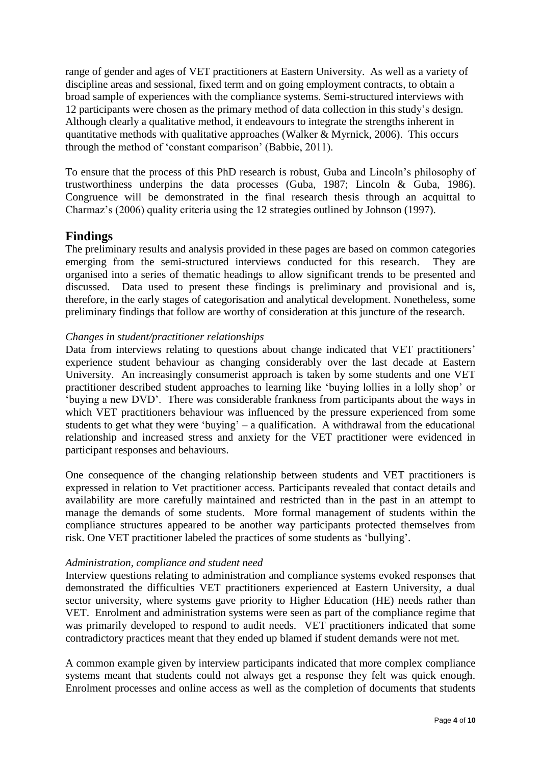range of gender and ages of VET practitioners at Eastern University. As well as a variety of discipline areas and sessional, fixed term and on going employment contracts, to obtain a broad sample of experiences with the compliance systems. Semi-structured interviews with 12 participants were chosen as the primary method of data collection in this study's design. Although clearly a qualitative method, it endeavours to integrate the strengths inherent in quantitative methods with qualitative approaches (Walker & Myrnick, 2006). This occurs through the method of 'constant comparison' (Babbie, 2011).

To ensure that the process of this PhD research is robust, Guba and Lincoln's philosophy of trustworthiness underpins the data processes (Guba, 1987; Lincoln & Guba, 1986). Congruence will be demonstrated in the final research thesis through an acquittal to Charmaz's (2006) quality criteria using the 12 strategies outlined by Johnson (1997).

### **Findings**

The preliminary results and analysis provided in these pages are based on common categories emerging from the semi-structured interviews conducted for this research. They are organised into a series of thematic headings to allow significant trends to be presented and discussed. Data used to present these findings is preliminary and provisional and is, therefore, in the early stages of categorisation and analytical development. Nonetheless, some preliminary findings that follow are worthy of consideration at this juncture of the research.

#### *Changes in student/practitioner relationships*

Data from interviews relating to questions about change indicated that VET practitioners' experience student behaviour as changing considerably over the last decade at Eastern University. An increasingly consumerist approach is taken by some students and one VET practitioner described student approaches to learning like 'buying lollies in a lolly shop' or 'buying a new DVD'. There was considerable frankness from participants about the ways in which VET practitioners behaviour was influenced by the pressure experienced from some students to get what they were 'buying' – a qualification. A withdrawal from the educational relationship and increased stress and anxiety for the VET practitioner were evidenced in participant responses and behaviours.

One consequence of the changing relationship between students and VET practitioners is expressed in relation to Vet practitioner access. Participants revealed that contact details and availability are more carefully maintained and restricted than in the past in an attempt to manage the demands of some students. More formal management of students within the compliance structures appeared to be another way participants protected themselves from risk. One VET practitioner labeled the practices of some students as 'bullying'.

#### *Administration, compliance and student need*

Interview questions relating to administration and compliance systems evoked responses that demonstrated the difficulties VET practitioners experienced at Eastern University, a dual sector university, where systems gave priority to Higher Education (HE) needs rather than VET. Enrolment and administration systems were seen as part of the compliance regime that was primarily developed to respond to audit needs. VET practitioners indicated that some contradictory practices meant that they ended up blamed if student demands were not met.

A common example given by interview participants indicated that more complex compliance systems meant that students could not always get a response they felt was quick enough. Enrolment processes and online access as well as the completion of documents that students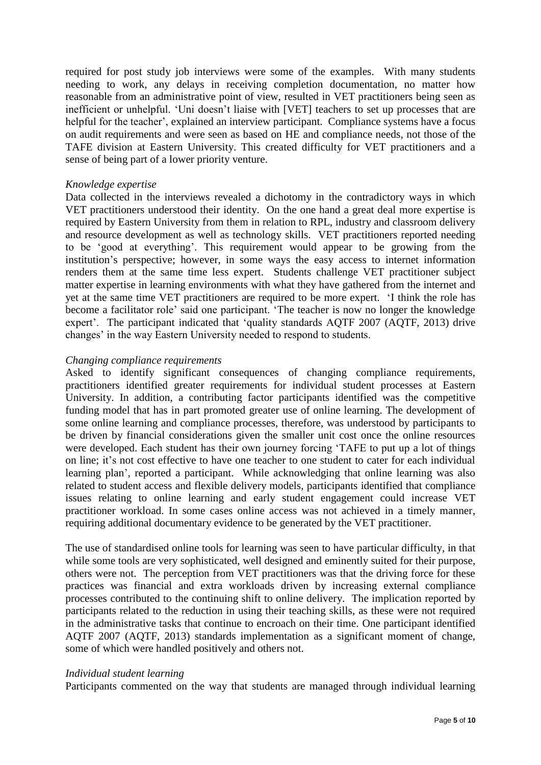required for post study job interviews were some of the examples. With many students needing to work, any delays in receiving completion documentation, no matter how reasonable from an administrative point of view, resulted in VET practitioners being seen as inefficient or unhelpful. 'Uni doesn't liaise with [VET] teachers to set up processes that are helpful for the teacher', explained an interview participant. Compliance systems have a focus on audit requirements and were seen as based on HE and compliance needs, not those of the TAFE division at Eastern University. This created difficulty for VET practitioners and a sense of being part of a lower priority venture.

#### *Knowledge expertise*

Data collected in the interviews revealed a dichotomy in the contradictory ways in which VET practitioners understood their identity. On the one hand a great deal more expertise is required by Eastern University from them in relation to RPL, industry and classroom delivery and resource development as well as technology skills. VET practitioners reported needing to be 'good at everything'. This requirement would appear to be growing from the institution's perspective; however, in some ways the easy access to internet information renders them at the same time less expert. Students challenge VET practitioner subject matter expertise in learning environments with what they have gathered from the internet and yet at the same time VET practitioners are required to be more expert. 'I think the role has become a facilitator role' said one participant. 'The teacher is now no longer the knowledge expert'. The participant indicated that 'quality standards AQTF 2007 (AQTF, 2013) drive changes' in the way Eastern University needed to respond to students.

#### *Changing compliance requirements*

Asked to identify significant consequences of changing compliance requirements, practitioners identified greater requirements for individual student processes at Eastern University. In addition, a contributing factor participants identified was the competitive funding model that has in part promoted greater use of online learning. The development of some online learning and compliance processes, therefore, was understood by participants to be driven by financial considerations given the smaller unit cost once the online resources were developed. Each student has their own journey forcing 'TAFE to put up a lot of things on line; it's not cost effective to have one teacher to one student to cater for each individual learning plan', reported a participant. While acknowledging that online learning was also related to student access and flexible delivery models, participants identified that compliance issues relating to online learning and early student engagement could increase VET practitioner workload. In some cases online access was not achieved in a timely manner, requiring additional documentary evidence to be generated by the VET practitioner.

The use of standardised online tools for learning was seen to have particular difficulty, in that while some tools are very sophisticated, well designed and eminently suited for their purpose, others were not. The perception from VET practitioners was that the driving force for these practices was financial and extra workloads driven by increasing external compliance processes contributed to the continuing shift to online delivery. The implication reported by participants related to the reduction in using their teaching skills, as these were not required in the administrative tasks that continue to encroach on their time. One participant identified AQTF 2007 (AQTF, 2013) standards implementation as a significant moment of change, some of which were handled positively and others not.

#### *Individual student learning*

Participants commented on the way that students are managed through individual learning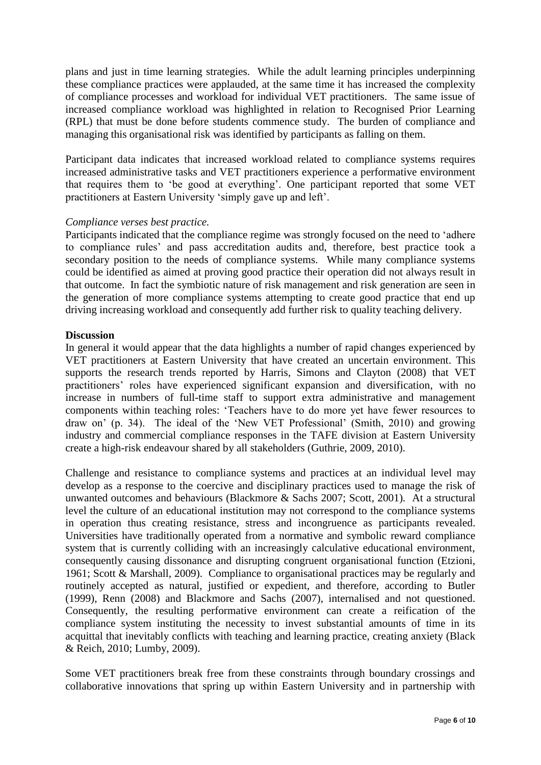plans and just in time learning strategies. While the adult learning principles underpinning these compliance practices were applauded, at the same time it has increased the complexity of compliance processes and workload for individual VET practitioners. The same issue of increased compliance workload was highlighted in relation to Recognised Prior Learning (RPL) that must be done before students commence study. The burden of compliance and managing this organisational risk was identified by participants as falling on them.

Participant data indicates that increased workload related to compliance systems requires increased administrative tasks and VET practitioners experience a performative environment that requires them to 'be good at everything'. One participant reported that some VET practitioners at Eastern University 'simply gave up and left'.

#### *Compliance verses best practice.*

Participants indicated that the compliance regime was strongly focused on the need to 'adhere to compliance rules' and pass accreditation audits and, therefore, best practice took a secondary position to the needs of compliance systems. While many compliance systems could be identified as aimed at proving good practice their operation did not always result in that outcome. In fact the symbiotic nature of risk management and risk generation are seen in the generation of more compliance systems attempting to create good practice that end up driving increasing workload and consequently add further risk to quality teaching delivery.

#### **Discussion**

In general it would appear that the data highlights a number of rapid changes experienced by VET practitioners at Eastern University that have created an uncertain environment. This supports the research trends reported by Harris, Simons and Clayton (2008) that VET practitioners' roles have experienced significant expansion and diversification, with no increase in numbers of full-time staff to support extra administrative and management components within teaching roles: 'Teachers have to do more yet have fewer resources to draw on' (p. 34). The ideal of the 'New VET Professional' (Smith, 2010) and growing industry and commercial compliance responses in the TAFE division at Eastern University create a high-risk endeavour shared by all stakeholders (Guthrie, 2009, 2010).

Challenge and resistance to compliance systems and practices at an individual level may develop as a response to the coercive and disciplinary practices used to manage the risk of unwanted outcomes and behaviours (Blackmore & Sachs 2007; Scott, 2001)*.* At a structural level the culture of an educational institution may not correspond to the compliance systems in operation thus creating resistance, stress and incongruence as participants revealed. Universities have traditionally operated from a normative and symbolic reward compliance system that is currently colliding with an increasingly calculative educational environment, consequently causing dissonance and disrupting congruent organisational function (Etzioni, 1961; Scott & Marshall, 2009). Compliance to organisational practices may be regularly and routinely accepted as natural, justified or expedient, and therefore, according to Butler (1999), Renn (2008) and Blackmore and Sachs (2007), internalised and not questioned. Consequently, the resulting performative environment can create a reification of the compliance system instituting the necessity to invest substantial amounts of time in its acquittal that inevitably conflicts with teaching and learning practice, creating anxiety (Black & Reich, 2010; Lumby, 2009).

Some VET practitioners break free from these constraints through boundary crossings and collaborative innovations that spring up within Eastern University and in partnership with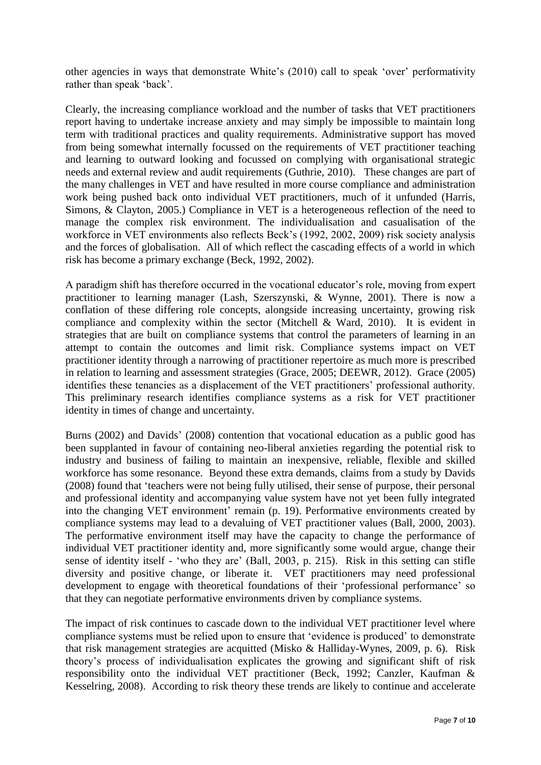other agencies in ways that demonstrate White's (2010) call to speak 'over' performativity rather than speak 'back'.

Clearly, the increasing compliance workload and the number of tasks that VET practitioners report having to undertake increase anxiety and may simply be impossible to maintain long term with traditional practices and quality requirements. Administrative support has moved from being somewhat internally focussed on the requirements of VET practitioner teaching and learning to outward looking and focussed on complying with organisational strategic needs and external review and audit requirements (Guthrie, 2010). These changes are part of the many challenges in VET and have resulted in more course compliance and administration work being pushed back onto individual VET practitioners, much of it unfunded (Harris, Simons, & Clayton, 2005.) Compliance in VET is a heterogeneous reflection of the need to manage the complex risk environment. The individualisation and casualisation of the workforce in VET environments also reflects Beck's (1992, 2002, 2009) risk society analysis and the forces of globalisation. All of which reflect the cascading effects of a world in which risk has become a primary exchange (Beck, 1992, 2002).

A paradigm shift has therefore occurred in the vocational educator's role, moving from expert practitioner to learning manager (Lash, Szerszynski, & Wynne, 2001). There is now a conflation of these differing role concepts, alongside increasing uncertainty, growing risk compliance and complexity within the sector (Mitchell & Ward, 2010). It is evident in strategies that are built on compliance systems that control the parameters of learning in an attempt to contain the outcomes and limit risk. Compliance systems impact on VET practitioner identity through a narrowing of practitioner repertoire as much more is prescribed in relation to learning and assessment strategies (Grace, 2005; DEEWR, 2012). Grace (2005) identifies these tenancies as a displacement of the VET practitioners' professional authority. This preliminary research identifies compliance systems as a risk for VET practitioner identity in times of change and uncertainty.

Burns (2002) and Davids' (2008) contention that vocational education as a public good has been supplanted in favour of containing neo-liberal anxieties regarding the potential risk to industry and business of failing to maintain an inexpensive, reliable, flexible and skilled workforce has some resonance. Beyond these extra demands, claims from a study by Davids (2008) found that 'teachers were not being fully utilised, their sense of purpose, their personal and professional identity and accompanying value system have not yet been fully integrated into the changing VET environment' remain (p. 19). Performative environments created by compliance systems may lead to a devaluing of VET practitioner values (Ball, 2000, 2003). The performative environment itself may have the capacity to change the performance of individual VET practitioner identity and, more significantly some would argue, change their sense of identity itself - 'who they are' (Ball, 2003, p. 215). Risk in this setting can stifle diversity and positive change, or liberate it. VET practitioners may need professional development to engage with theoretical foundations of their 'professional performance' so that they can negotiate performative environments driven by compliance systems.

The impact of risk continues to cascade down to the individual VET practitioner level where compliance systems must be relied upon to ensure that 'evidence is produced' to demonstrate that risk management strategies are acquitted (Misko & Halliday-Wynes, 2009, p. 6). Risk theory's process of individualisation explicates the growing and significant shift of risk responsibility onto the individual VET practitioner (Beck, 1992; Canzler, Kaufman & Kesselring, 2008). According to risk theory these trends are likely to continue and accelerate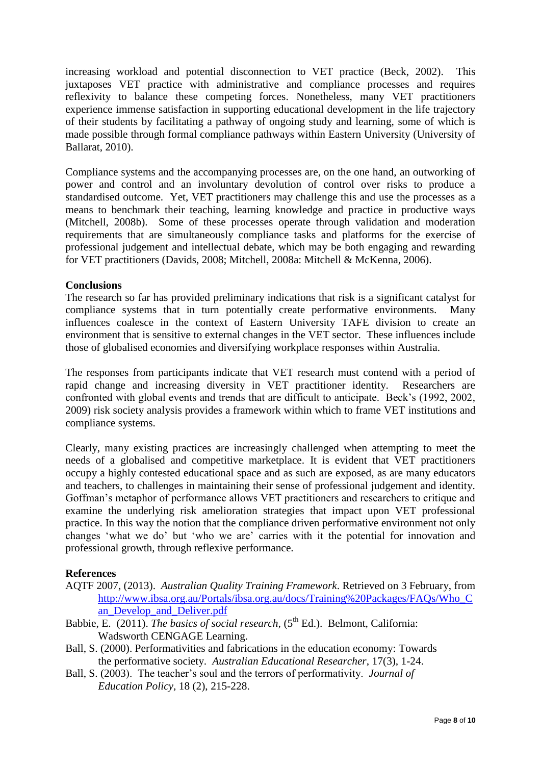increasing workload and potential disconnection to VET practice (Beck, 2002). This juxtaposes VET practice with administrative and compliance processes and requires reflexivity to balance these competing forces. Nonetheless, many VET practitioners experience immense satisfaction in supporting educational development in the life trajectory of their students by facilitating a pathway of ongoing study and learning, some of which is made possible through formal compliance pathways within Eastern University (University of Ballarat, 2010).

Compliance systems and the accompanying processes are, on the one hand, an outworking of power and control and an involuntary devolution of control over risks to produce a standardised outcome. Yet, VET practitioners may challenge this and use the processes as a means to benchmark their teaching, learning knowledge and practice in productive ways (Mitchell, 2008b). Some of these processes operate through validation and moderation requirements that are simultaneously compliance tasks and platforms for the exercise of professional judgement and intellectual debate, which may be both engaging and rewarding for VET practitioners (Davids, 2008; Mitchell, 2008a: Mitchell & McKenna, 2006).

### **Conclusions**

The research so far has provided preliminary indications that risk is a significant catalyst for compliance systems that in turn potentially create performative environments. Many influences coalesce in the context of Eastern University TAFE division to create an environment that is sensitive to external changes in the VET sector. These influences include those of globalised economies and diversifying workplace responses within Australia.

The responses from participants indicate that VET research must contend with a period of rapid change and increasing diversity in VET practitioner identity. Researchers are confronted with global events and trends that are difficult to anticipate. Beck's (1992, 2002, 2009) risk society analysis provides a framework within which to frame VET institutions and compliance systems.

Clearly, many existing practices are increasingly challenged when attempting to meet the needs of a globalised and competitive marketplace. It is evident that VET practitioners occupy a highly contested educational space and as such are exposed, as are many educators and teachers, to challenges in maintaining their sense of professional judgement and identity. Goffman's metaphor of performance allows VET practitioners and researchers to critique and examine the underlying risk amelioration strategies that impact upon VET professional practice. In this way the notion that the compliance driven performative environment not only changes 'what we do' but 'who we are' carries with it the potential for innovation and professional growth, through reflexive performance.

#### **References**

- AQTF 2007, (2013). *Australian Quality Training Framework*. Retrieved on 3 February, from [http://www.ibsa.org.au/Portals/ibsa.org.au/docs/Training%20Packages/FAQs/Who\\_C](http://www.ibsa.org.au/Portals/ibsa.org.au/docs/Training%20Packages/FAQs/Who_Can_Develop_and_Deliver.pdf) [an\\_Develop\\_and\\_Deliver.pdf](http://www.ibsa.org.au/Portals/ibsa.org.au/docs/Training%20Packages/FAQs/Who_Can_Develop_and_Deliver.pdf)
- Babbie, E. (2011). *The basics of social research*, (5<sup>th</sup> Ed.). Belmont, California: Wadsworth CENGAGE Learning.
- Ball, S. (2000). Performativities and fabrications in the education economy: Towards the performative society. *Australian Educational Researcher*, 17(3), 1-24.
- Ball, S. (2003). The teacher's soul and the terrors of performativity. *Journal of Education Policy*, 18 (2), 215-228.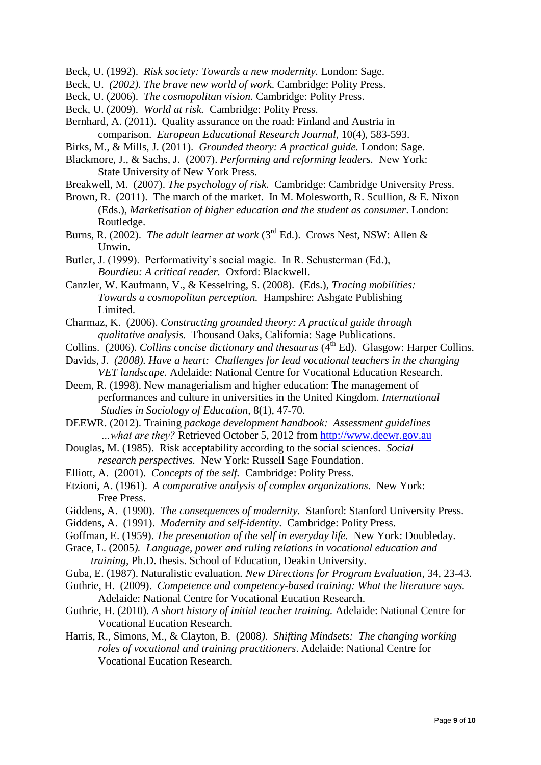Beck, U. (1992). *Risk society: Towards a new modernity.* London: Sage.

- Beck, U. *(2002). The brave new world of work.* Cambridge: Polity Press.
- Beck, U. (2006). *The cosmopolitan vision.* Cambridge: Polity Press.
- Beck, U. (2009). *World at risk.* Cambridge: Polity Press.
- Bernhard, A. (2011). Quality assurance on the road: Finland and Austria in comparison. *European Educational Research Journal,* 10(4), 583-593.
- Birks, M., & Mills, J. (2011). *Grounded theory: A practical guide.* London: Sage.
- Blackmore, J., & Sachs, J. (2007). *Performing and reforming leaders.* New York: State University of New York Press.
- Breakwell, M. (2007). *The psychology of risk.* Cambridge: Cambridge University Press.
- Brown, R. (2011). The march of the market. In M. Molesworth, R. Scullion, & E. Nixon (Eds.), *Marketisation of higher education and the student as consumer*. London: Routledge.
- Burns, R. (2002). *The adult learner at work* (3rd Ed.). Crows Nest, NSW: Allen & Unwin.
- Butler, J. (1999). Performativity's social magic. In R. Schusterman (Ed.), *Bourdieu: A critical reader.* Oxford: Blackwell.
- Canzler, W. Kaufmann, V., & Kesselring, S. (2008). (Eds.), *Tracing mobilities: Towards a cosmopolitan perception.* Hampshire: Ashgate Publishing Limited.
- Charmaz, K. (2006). *Constructing grounded theory: A practical guide through qualitative analysis.* Thousand Oaks, California: Sage Publications.
- Collins. (2006). *Collins concise dictionary and thesaurus* (4<sup>th</sup> Ed). Glasgow: Harper Collins.
- Davids, J. *(2008). Have a heart: Challenges for lead vocational teachers in the changing VET landscape.* Adelaide: National Centre for Vocational Education Research.
- Deem, R. (1998). New managerialism and higher education: The management of performances and culture in universities in the United Kingdom. *International*
	- *Studies in Sociology of Education,* 8(1), 47-70.
- DEEWR. (2012). Training *package development handbook: Assessment guidelines …what are they?* Retrieved October 5, 2012 from [http://www.deewr.gov.au](http://www.deewr.gov.au/)
- Douglas, M. (1985). Risk acceptability according to the social sciences. *Social research perspectives.* New York: Russell Sage Foundation.
- Elliott, A. (2001). *Concepts of the self.* Cambridge: Polity Press.
- Etzioni, A. (1961). *[A comparative analysis of complex organizations](http://solomon.soth.alexanderstreet.com.ezproxy-m.deakin.edu.au/cgi-bin/asp/philo/soth/sourceidx.pl?&sourceid=S10020157)*. New York: Free Press.
- Giddens, A. (1990). *The consequences of modernity.* Stanford: Stanford University Press.
- Giddens, A. (1991). *Modernity and self-identity*. Cambridge: Polity Press.
- Goffman, E. (1959). *The presentation of the self in everyday life.* New York: Doubleday.
- Grace, L. (2005*). Language, power and ruling relations in vocational education and training,* Ph.D. thesis. School of Education, Deakin University.
- Guba, E. (1987). Naturalistic evaluation*. New Directions for Program Evaluation,* 34, 23-43.
- Guthrie, H. (2009). *Competence and competency-based training: What the literature says.*
- Adelaide: National Centre for Vocational Eucation Research.
- Guthrie, H. (2010). *A short history of initial teacher training.* Adelaide: National Centre for Vocational Eucation Research.
- Harris, R., Simons, M., & Clayton, B. (2008*). Shifting Mindsets: The changing working roles of vocational and training practitioners*. Adelaide: National Centre for Vocational Eucation Research.